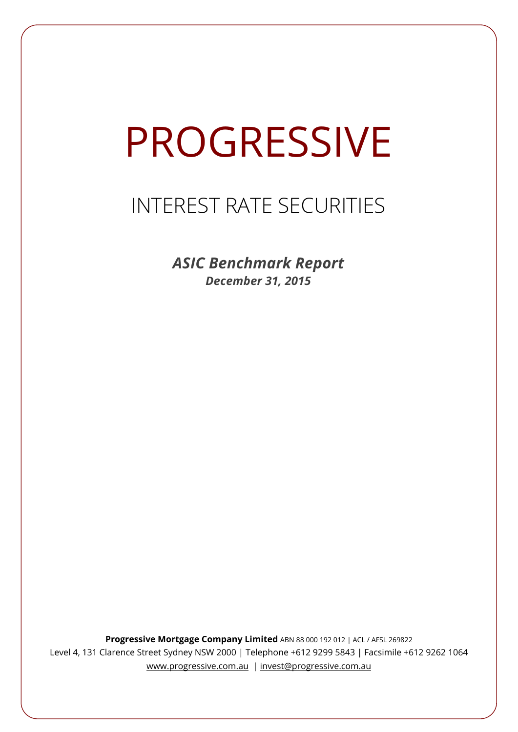# PROGRESSIVE

# INTEREST RATE SECURITIES

*ASIC Benchmark Report December 31, 2015*

**Progressive Mortgage Company Limited** ABN 88 000 192 012 | ACL / AFSL 269822 Level 4, 131 Clarence Street Sydney NSW 2000 | Telephone +612 9299 5843 | Facsimile +612 9262 1064 www.progressive.com.au | invest@progressive.com.au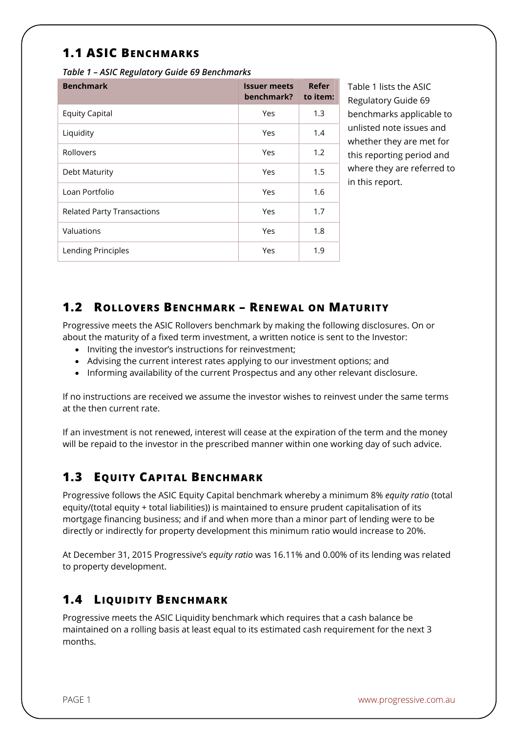## **1.1 ASIC BENCHMARKS**

*Table 1 – ASIC Regulatory Guide 69 Benchmarks* 

| <b>Benchmark</b>                  | <b>Issuer meets</b><br>benchmark? | Refer<br>to item: |
|-----------------------------------|-----------------------------------|-------------------|
| <b>Equity Capital</b>             | Yes                               | 1.3               |
| Liquidity                         | Yes                               | 1.4               |
| Rollovers                         | Yes                               | 1.2               |
| Debt Maturity                     | Yes                               | 1.5               |
| Loan Portfolio                    | Yes                               | 1.6               |
| <b>Related Party Transactions</b> | Yes                               | 1.7               |
| Valuations                        | Yes                               | 1.8               |
| Lending Principles                | Yes                               | 1.9               |

Table 1 lists the ASIC Regulatory Guide 69 benchmarks applicable to unlisted note issues and whether they are met for this reporting period and where they are referred to in this report.

#### **1.2 ROLLOVERS BENCHMARK – RENEWAL ON MATURITY**

Progressive meets the ASIC Rollovers benchmark by making the following disclosures. On or about the maturity of a fixed term investment, a written notice is sent to the Investor:

- Inviting the investor's instructions for reinvestment;
- Advising the current interest rates applying to our investment options; and
- Informing availability of the current Prospectus and any other relevant disclosure.

If no instructions are received we assume the investor wishes to reinvest under the same terms at the then current rate.

If an investment is not renewed, interest will cease at the expiration of the term and the money will be repaid to the investor in the prescribed manner within one working day of such advice.

### **1.3 EQUITY CAPITAL BENCHMARK**

Progressive follows the ASIC Equity Capital benchmark whereby a minimum 8% *equity ratio* (total equity/(total equity + total liabilities)) is maintained to ensure prudent capitalisation of its mortgage financing business; and if and when more than a minor part of lending were to be directly or indirectly for property development this minimum ratio would increase to 20%.

At December 31, 2015 Progressive's *equity ratio* was 16.11% and 0.00% of its lending was related to property development.

### **1.4 LIQUIDITY BENCHMARK**

Progressive meets the ASIC Liquidity benchmark which requires that a cash balance be maintained on a rolling basis at least equal to its estimated cash requirement for the next 3 months.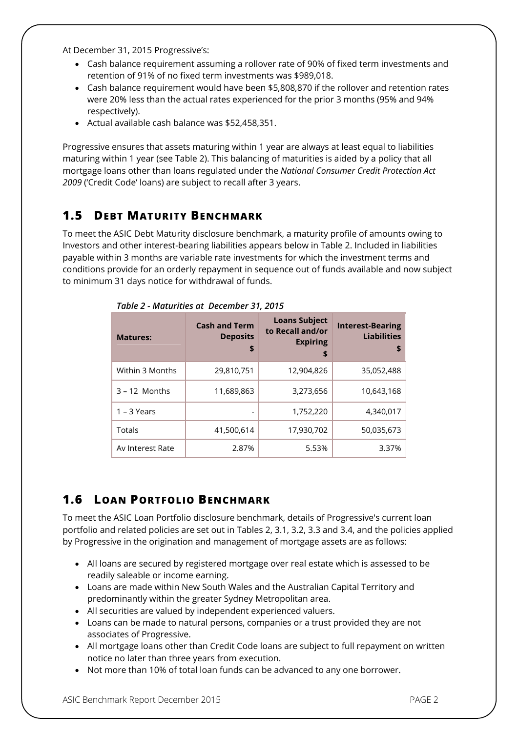At December 31, 2015 Progressive's:

- Cash balance requirement assuming a rollover rate of 90% of fixed term investments and retention of 91% of no fixed term investments was \$989,018.
- Cash balance requirement would have been \$5,808,870 if the rollover and retention rates were 20% less than the actual rates experienced for the prior 3 months (95% and 94% respectively).
- Actual available cash balance was \$52,458,351.

Progressive ensures that assets maturing within 1 year are always at least equal to liabilities maturing within 1 year (see Table 2). This balancing of maturities is aided by a policy that all mortgage loans other than loans regulated under the *National Consumer Credit Protection Act 2009* ('Credit Code' loans) are subject to recall after 3 years.

#### **1.5 DEBT MATURITY BENCHMARK**

To meet the ASIC Debt Maturity disclosure benchmark, a maturity profile of amounts owing to Investors and other interest-bearing liabilities appears below in Table 2. Included in liabilities payable within 3 months are variable rate investments for which the investment terms and conditions provide for an orderly repayment in sequence out of funds available and now subject to minimum 31 days notice for withdrawal of funds.

| <b>Matures:</b>  | <b>Cash and Term</b><br><b>Deposits</b><br>\$ | <b>Loans Subject</b><br>to Recall and/or<br><b>Expiring</b><br>\$ | <b>Interest-Bearing</b><br><b>Liabilities</b><br>\$ |
|------------------|-----------------------------------------------|-------------------------------------------------------------------|-----------------------------------------------------|
| Within 3 Months  | 29,810,751                                    | 12,904,826                                                        | 35,052,488                                          |
| $3 - 12$ Months  | 11,689,863                                    | 3,273,656                                                         | 10,643,168                                          |
| $1 - 3$ Years    |                                               | 1,752,220                                                         | 4.340.017                                           |
| Totals           | 41,500,614                                    | 17,930,702                                                        | 50,035,673                                          |
| Av Interest Rate | 2.87%                                         | 5.53%                                                             | 3.37%                                               |

*Table 2 - Maturities at December 31, 2015*

# **1.6 LOAN PORTFOLIO BENCHMARK**

To meet the ASIC Loan Portfolio disclosure benchmark, details of Progressive's current loan portfolio and related policies are set out in Tables 2, 3.1, 3.2, 3.3 and 3.4, and the policies applied by Progressive in the origination and management of mortgage assets are as follows:

- All loans are secured by registered mortgage over real estate which is assessed to be readily saleable or income earning.
- Loans are made within New South Wales and the Australian Capital Territory and predominantly within the greater Sydney Metropolitan area.
- All securities are valued by independent experienced valuers.
- Loans can be made to natural persons, companies or a trust provided they are not associates of Progressive.
- All mortgage loans other than Credit Code loans are subject to full repayment on written notice no later than three years from execution.
- Not more than 10% of total loan funds can be advanced to any one borrower.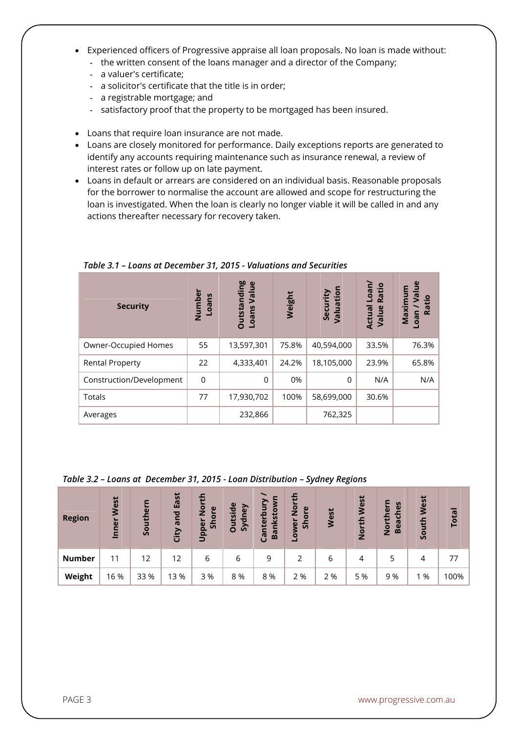- Experienced officers of Progressive appraise all loan proposals. No loan is made without:
	- the written consent of the loans manager and a director of the Company;
	- a valuer's certificate;
	- a solicitor's certificate that the title is in order;
	- a registrable mortgage; and
	- satisfactory proof that the property to be mortgaged has been insured.
- Loans that require loan insurance are not made.
- Loans are closely monitored for performance. Daily exceptions reports are generated to identify any accounts requiring maintenance such as insurance renewal, a review of interest rates or follow up on late payment.
- Loans in default or arrears are considered on an individual basis. Reasonable proposals for the borrower to normalise the account are allowed and scope for restructuring the loan is investigated. When the loan is clearly no longer viable it will be called in and any actions thereafter necessary for recovery taken.

| <b>Security</b>          | Numbei<br>Loans | <b>Outstanding</b><br>Value<br>Loans | Weight | Valuation<br>Security | Loan/<br>Ratio<br>Actual<br>Value | $e$<br>ε<br>Maximu<br>厄<br>Ratio<br>neo |
|--------------------------|-----------------|--------------------------------------|--------|-----------------------|-----------------------------------|-----------------------------------------|
| Owner-Occupied Homes     | 55              | 13,597,301                           | 75.8%  | 40,594,000            | 33.5%                             | 76.3%                                   |
| <b>Rental Property</b>   | 22              | 4,333,401                            | 24.2%  | 18,105,000            | 23.9%                             | 65.8%                                   |
| Construction/Development | 0               | 0                                    | 0%     | 0                     | N/A                               | N/A                                     |
| Totals                   | 77              | 17,930,702                           | 100%   | 58,699,000            | 30.6%                             |                                         |
| Averages                 |                 | 232,866                              |        | 762,325               |                                   |                                         |

*Table 3.1 – Loans at December 31, 2015 - Valuations and Securities*

#### *Table 3.2 – Loans at December 31, 2015 - Loan Distribution – Sydney Regions*

| <b>Region</b> | West<br>Inner | Southern | East<br>and<br>City | ÷<br>$\overline{2}$<br>$\mathbf \omega$<br>Shor<br>Upper | <b>Outside</b><br>dney<br>$\overline{\mathcal{S}}$ | ξ<br>Bankstow<br>nterbi<br>ී | 든<br>$\frac{5}{2}$<br>$\mathbf{\omega}$<br>$\overline{\sigma}$<br>Š۶<br>owe | West | West<br>North | S<br>$\omega$<br>the<br>Ē<br><b>Beac</b><br><u>ۃ</u> | West<br>South | Total |
|---------------|---------------|----------|---------------------|----------------------------------------------------------|----------------------------------------------------|------------------------------|-----------------------------------------------------------------------------|------|---------------|------------------------------------------------------|---------------|-------|
| <b>Number</b> | 11            | 12       | 12                  | 6                                                        | 6                                                  | 9                            |                                                                             | 6    | 4             | 5                                                    | 4             | 77    |
| Weight        | 16 %          | 33 %     | 13 %                | 3%                                                       | 8 %                                                | 8%                           | 2 %                                                                         | 2 %  | 5 %           | 9 %                                                  | %             | 100%  |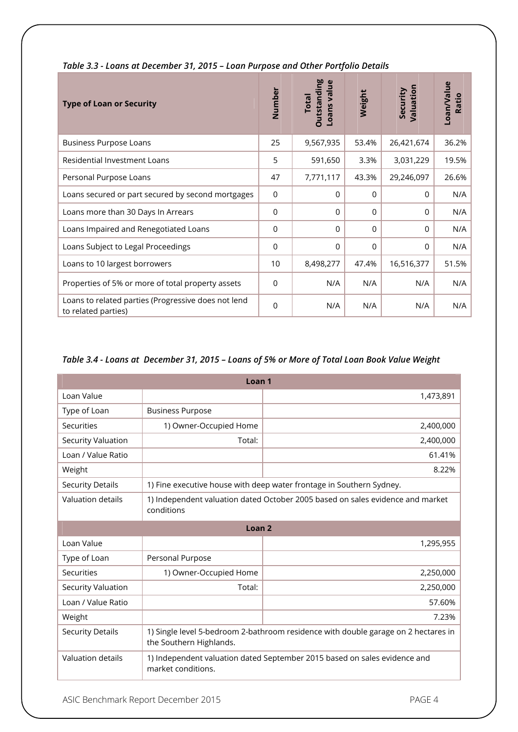| <b>Type of Loan or Security</b>                                            | Number          | <b>Outstanding</b><br>Loans value<br><b>Total</b> | Weight   | Valuation<br>Security | Loan/Value<br>Ratio |
|----------------------------------------------------------------------------|-----------------|---------------------------------------------------|----------|-----------------------|---------------------|
| <b>Business Purpose Loans</b>                                              | 25              | 9,567,935                                         | 53.4%    | 26,421,674            | 36.2%               |
| <b>Residential Investment Loans</b>                                        | 5               | 591,650                                           | 3.3%     | 3,031,229             | 19.5%               |
| Personal Purpose Loans                                                     | 47              | 7,771,117                                         | 43.3%    | 29,246,097            | 26.6%               |
| Loans secured or part secured by second mortgages                          | 0               | $\Omega$                                          | $\Omega$ | $\Omega$              | N/A                 |
| Loans more than 30 Days In Arrears                                         | $\Omega$        | 0                                                 | $\Omega$ | $\Omega$              | N/A                 |
| Loans Impaired and Renegotiated Loans                                      | 0               | $\Omega$                                          | $\Omega$ | $\Omega$              | N/A                 |
| Loans Subject to Legal Proceedings                                         | $\overline{0}$  | $\overline{0}$                                    | 0        | $\Omega$              | N/A                 |
| Loans to 10 largest borrowers                                              | 10 <sup>°</sup> | 8,498,277                                         | 47.4%    | 16,516,377            | 51.5%               |
| Properties of 5% or more of total property assets                          | $\Omega$        | N/A                                               | N/A      | N/A                   | N/A                 |
| Loans to related parties (Progressive does not lend<br>to related parties) | $\overline{0}$  | N/A                                               | N/A      | N/A                   | N/A                 |

#### *Table 3.3 - Loans at December 31, 2015 – Loan Purpose and Other Portfolio Details*

#### *Table 3.4 - Loans at December 31, 2015 – Loans of 5% or More of Total Loan Book Value Weight*

| Loan <sub>1</sub>       |                                                                                                               |           |  |  |  |
|-------------------------|---------------------------------------------------------------------------------------------------------------|-----------|--|--|--|
| Loan Value              |                                                                                                               | 1,473,891 |  |  |  |
| Type of Loan            | <b>Business Purpose</b>                                                                                       |           |  |  |  |
| Securities              | 1) Owner-Occupied Home                                                                                        | 2,400,000 |  |  |  |
| Security Valuation      | Total:                                                                                                        | 2,400,000 |  |  |  |
| Loan / Value Ratio      |                                                                                                               | 61.41%    |  |  |  |
| Weight                  |                                                                                                               | 8.22%     |  |  |  |
| <b>Security Details</b> | 1) Fine executive house with deep water frontage in Southern Sydney.                                          |           |  |  |  |
| Valuation details       | 1) Independent valuation dated October 2005 based on sales evidence and market<br>conditions                  |           |  |  |  |
| Loan <sub>2</sub>       |                                                                                                               |           |  |  |  |
| Loan Value              |                                                                                                               | 1,295,955 |  |  |  |
| Type of Loan            | Personal Purpose                                                                                              |           |  |  |  |
| Securities              | 1) Owner-Occupied Home                                                                                        | 2,250,000 |  |  |  |
| Security Valuation      | Total:                                                                                                        | 2,250,000 |  |  |  |
| Loan / Value Ratio      |                                                                                                               | 57.60%    |  |  |  |
| Weight                  |                                                                                                               | 7.23%     |  |  |  |
| <b>Security Details</b> | 1) Single level 5-bedroom 2-bathroom residence with double garage on 2 hectares in<br>the Southern Highlands. |           |  |  |  |
| Valuation details       | 1) Independent valuation dated September 2015 based on sales evidence and<br>market conditions.               |           |  |  |  |